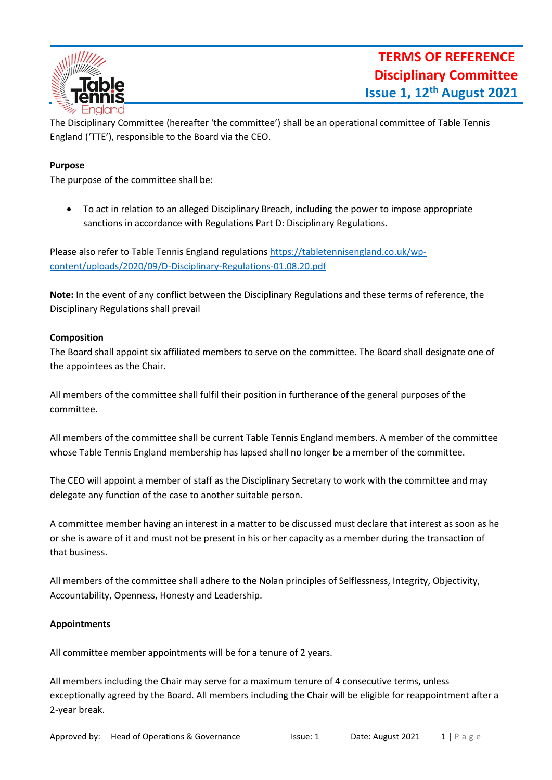

The Disciplinary Committee (hereafter 'the committee') shall be an operational committee of Table Tennis England ('TTE'), responsible to the Board via the CEO.

## **Purpose**

The purpose of the committee shall be:

• To act in relation to an alleged Disciplinary Breach, including the power to impose appropriate sanctions in accordance with Regulations Part D: Disciplinary Regulations.

Please also refer to Table Tennis England regulations [https://tabletennisengland.co.uk/wp](https://tabletennisengland.co.uk/wp-content/uploads/2020/09/D-Disciplinary-Regulations-01.08.20.pdf)[content/uploads/2020/09/D-Disciplinary-Regulations-01.08.20.pdf](https://tabletennisengland.co.uk/wp-content/uploads/2020/09/D-Disciplinary-Regulations-01.08.20.pdf)

**Note:** In the event of any conflict between the Disciplinary Regulations and these terms of reference, the Disciplinary Regulations shall prevail

### **Composition**

The Board shall appoint six affiliated members to serve on the committee. The Board shall designate one of the appointees as the Chair.

All members of the committee shall fulfil their position in furtherance of the general purposes of the committee.

All members of the committee shall be current Table Tennis England members. A member of the committee whose Table Tennis England membership has lapsed shall no longer be a member of the committee.

The CEO will appoint a member of staff as the Disciplinary Secretary to work with the committee and may delegate any function of the case to another suitable person.

A committee member having an interest in a matter to be discussed must declare that interest as soon as he or she is aware of it and must not be present in his or her capacity as a member during the transaction of that business.

All members of the committee shall adhere to the Nolan principles of Selflessness, Integrity, Objectivity, Accountability, Openness, Honesty and Leadership.

# **Appointments**

All committee member appointments will be for a tenure of 2 years.

All members including the Chair may serve for a maximum tenure of 4 consecutive terms, unless exceptionally agreed by the Board. All members including the Chair will be eligible for reappointment after a 2-year break.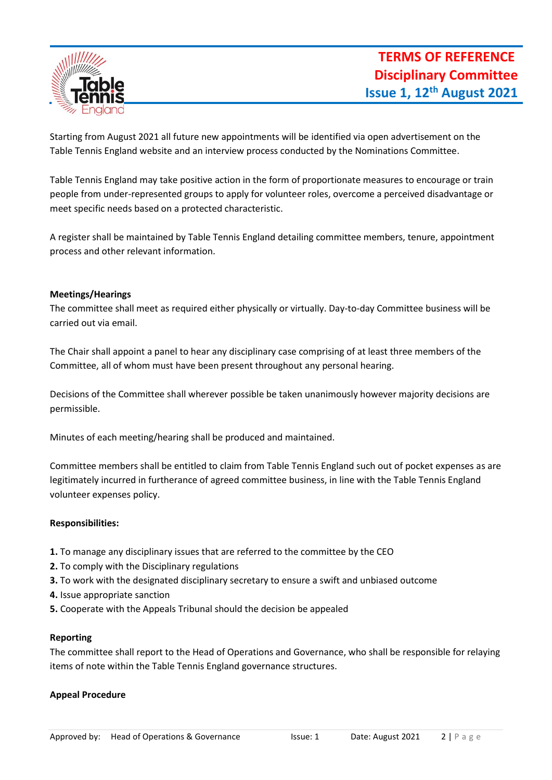

Starting from August 2021 all future new appointments will be identified via open advertisement on the Table Tennis England website and an interview process conducted by the Nominations Committee.

Table Tennis England may take positive action in the form of proportionate measures to encourage or train people from under-represented groups to apply for volunteer roles, overcome a perceived disadvantage or meet specific needs based on a protected characteristic.

A register shall be maintained by Table Tennis England detailing committee members, tenure, appointment process and other relevant information.

### **Meetings/Hearings**

The committee shall meet as required either physically or virtually. Day-to-day Committee business will be carried out via email.

The Chair shall appoint a panel to hear any disciplinary case comprising of at least three members of the Committee, all of whom must have been present throughout any personal hearing.

Decisions of the Committee shall wherever possible be taken unanimously however majority decisions are permissible.

Minutes of each meeting/hearing shall be produced and maintained.

Committee members shall be entitled to claim from Table Tennis England such out of pocket expenses as are legitimately incurred in furtherance of agreed committee business, in line with the Table Tennis England volunteer expenses policy.

# **Responsibilities:**

- **1.** To manage any disciplinary issues that are referred to the committee by the CEO
- **2.** To comply with the Disciplinary regulations
- **3.** To work with the designated disciplinary secretary to ensure a swift and unbiased outcome
- **4.** Issue appropriate sanction
- **5.** Cooperate with the Appeals Tribunal should the decision be appealed

#### **Reporting**

The committee shall report to the Head of Operations and Governance, who shall be responsible for relaying items of note within the Table Tennis England governance structures.

# **Appeal Procedure**